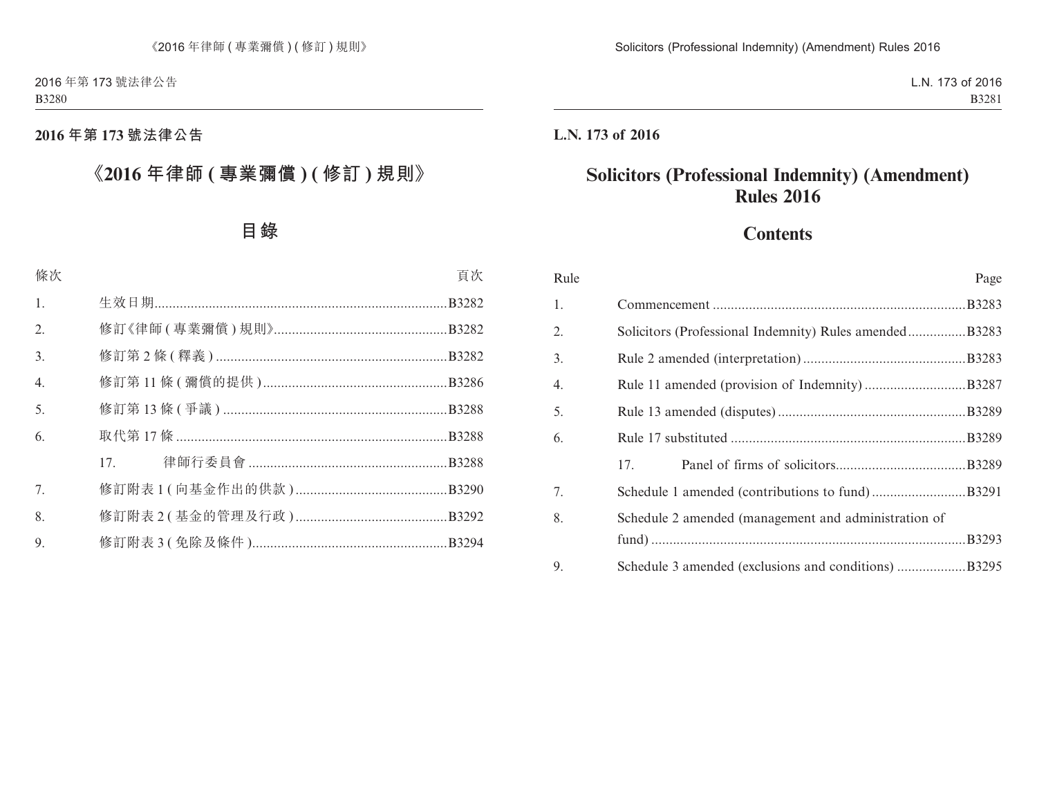# **2016 年第 173 號法律公告**

# **《2016 年律師 ( 專業彌償 ) ( 修訂 ) 規則》**

# **目錄**

| 條次               |     | 頁次 |
|------------------|-----|----|
| 1.               |     |    |
| 2.               |     |    |
| 3.               |     |    |
| $\overline{4}$ . |     |    |
| 5.               |     |    |
| 6.               |     |    |
|                  | 17. |    |
| 7.               |     |    |
| 8.               |     |    |
| 9.               |     |    |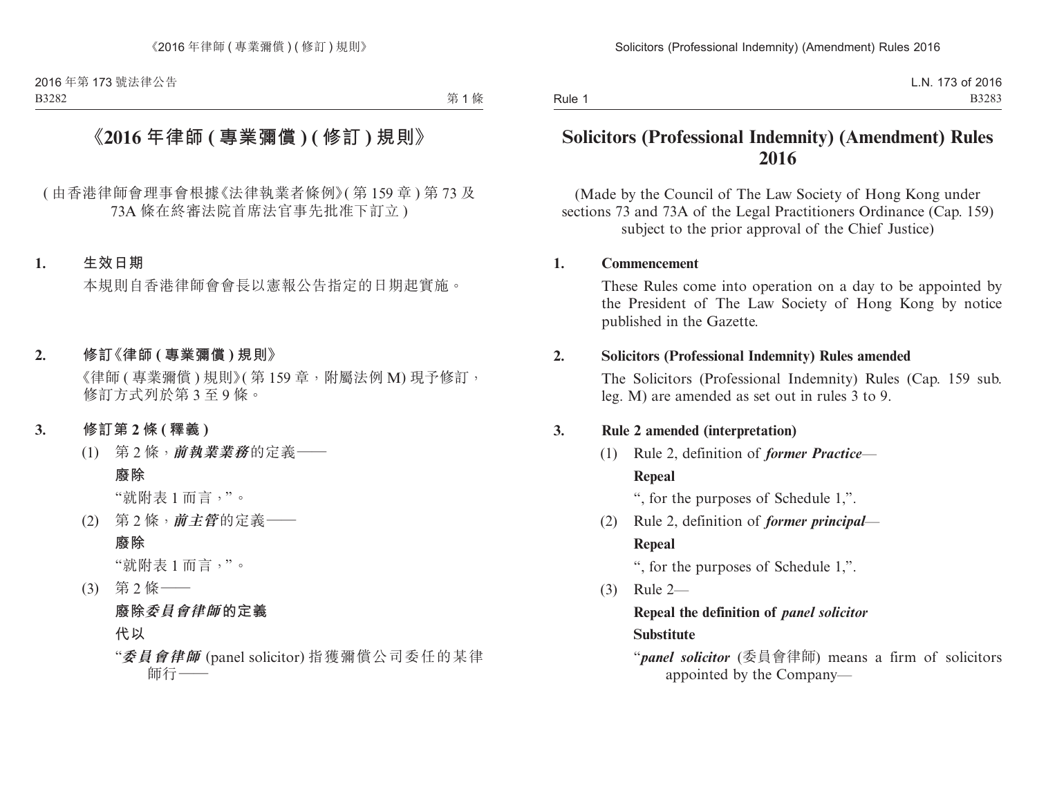第1條

# **《2016 年律師 ( 專業彌償 ) ( 修訂 ) 規則》**

( 由香港律師會理事會根據《法律執業者條例》( 第 159 章 ) 第 73 及 73A 條在終審法院首席法官事先批准下訂立 )

## **1. 生效日期**

本規則自香港律師會會長以憲報公告指定的日期起實施。

#### **2. 修訂《律師 ( 專業彌償 ) 規則》**

《律師 ( 專業彌償 ) 規則》( 第 159 章, 附屬法例 M) 現予修訂, 修訂方式列於第 3 至 9 條。

#### **3. 修訂第 2 條 ( 釋義 )**

(1) 第 2 條,**前執業業務**的定義——

#### **廢除**

"就附表 1 而言,"。

(2) 第 2 條,**前主管**的定義——

## **廢除**

"就附表 1 而言,"。

(3) 第 2 條—— **廢除委員會律師的定義 代以**

"**委員會律師** (panel solicitor) 指獲彌償公司委任的某律 師行——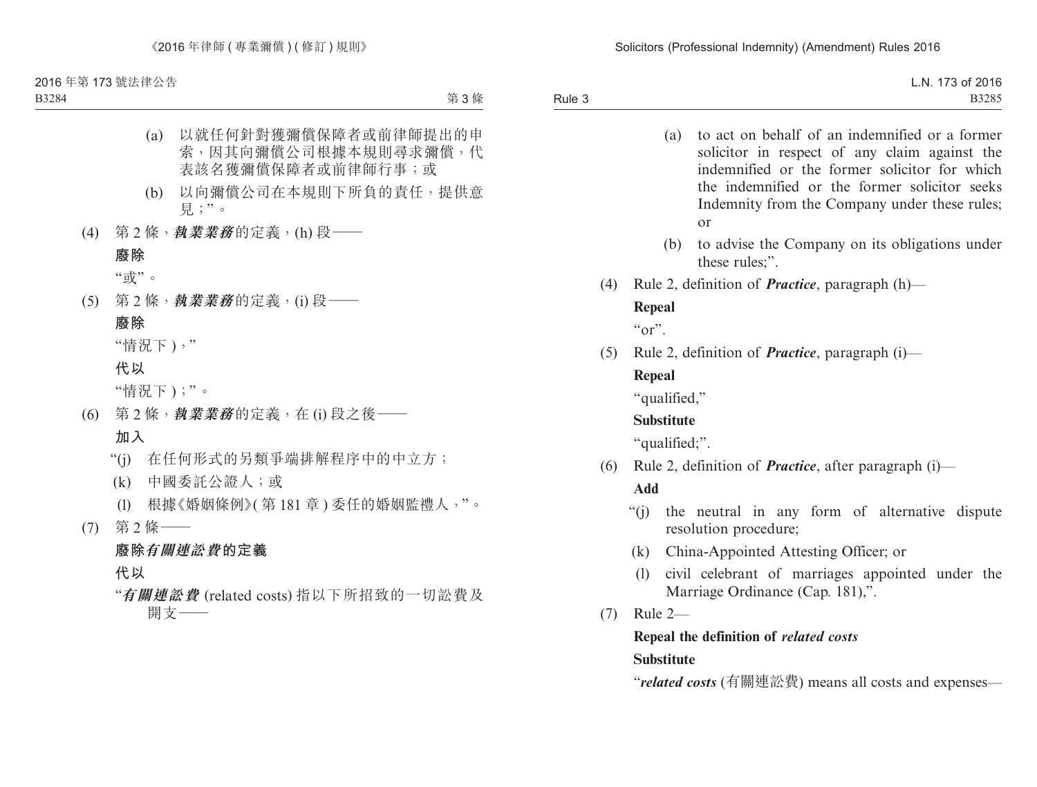B3284

第 3 條

- (a) 以就任何針對獲彌償保障者或前律師提出的申 索,因其向彌償公司根據本規則尋求彌償,代 表該名獲彌償保障者或前律師行事;或
- (b) 以向彌償公司在本規則下所負的責任,提供意 見;"。
- (4) 第 2 條,**執業業務**的定義,(h) 段——

#### **廢除**

"或"。

(5) 第 2 條,**執業業務**的定義,(i) 段——

## **廢除**

"情況下 ),"

**代以**

"情況下 );"。

- (6) 第 2 條,**執業業務**的定義,在 (i) 段之後—— **加入**
	- "(j) 在任何形式的另類爭端排解程序中的中立方;
	- (k) 中國委託公證人;或
	- (l) 根據《婚姻條例》( 第 181 章 ) 委任的婚姻監禮人,"。
- (7) 第 2 條——

## **廢除有關連訟費的定義**

**代以**

"**有關連訟費** (related costs) 指以下所招致的一切訟費及 開支——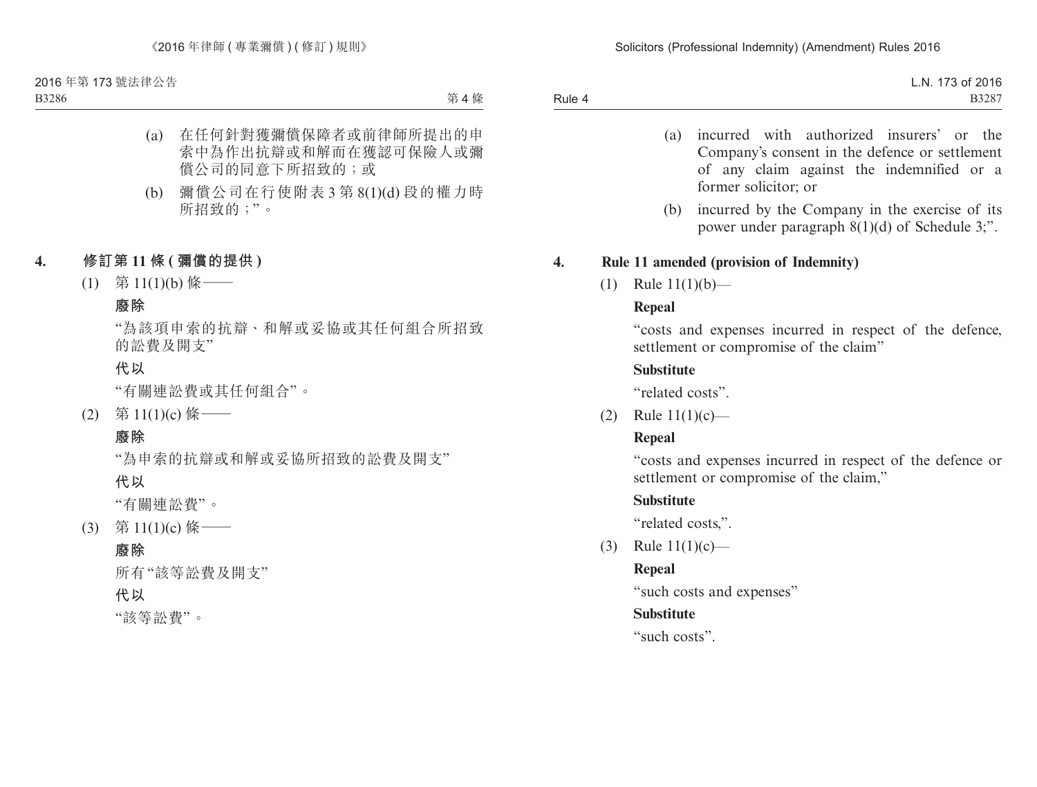B3286

第4條

- (a) 在任何針對獲彌償保障者或前律師所提出的申 索中為作出抗辯或和解而在獲認可保險人或彌 償公司的同意下所招致的;或
- (b) 彌償公司在行使附表 3 第 8(1)(d) 段的權力時 所招致的;"。

# **4. 修訂第 11 條 ( 彌償的提供 )**

(1) 第 11(1)(b) 條——

## **廢除**

"為該項申索的抗辯、和解或妥協或其任何組合所招致 的訟費及開支"

## **代以**

"有關連訟費或其任何組合"。

(2) 第 11(1)(c) 條——

## **廢除**

"為申索的抗辯或和解或妥協所招致的訟費及開支"

**代以**

"有關連訟費"。

(3) 第 11(1)(c) 條 ——

## **廢除**

所有"該等訟費及開支"

## **代以**

"該等訟費"。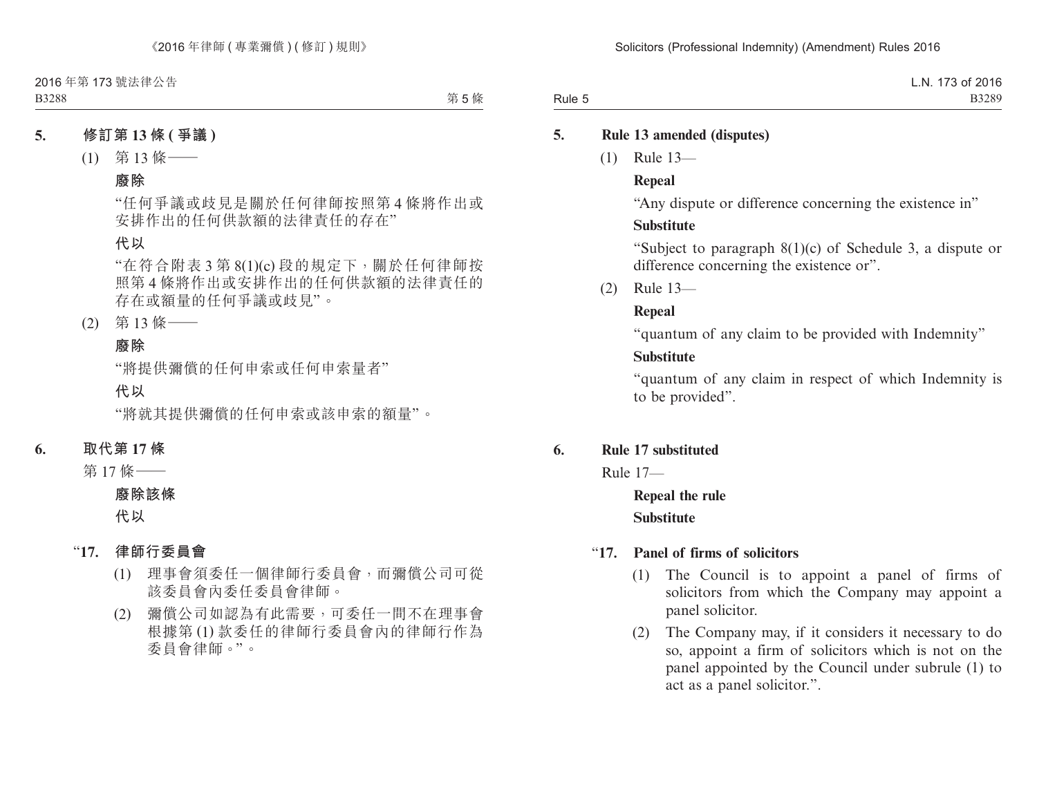第 5 條

## **5. 修訂第 13 條 ( 爭議 )**

(1) 第 13 條——

#### **廢除**

"任何爭議或歧見是關於任何律師按照第 4 條將作出或 安排作出的任何供款額的法律責任的存在"

## **代以**

"在符合附表 3 第 8(1)(c) 段的規定下,關於任何律師按 照第 4 條將作出或安排作出的任何供款額的法律責任的 存在或額量的任何爭議或歧見"。

(2) 第 13 條——

## **廢除**

"將提供彌償的任何申索或任何申索量者"

**代以**

"將就其提供彌償的任何申索或該申索的額量"。

## **6. 取代第 17 條**

第 17 條——

#### **廢除該條**

**代以**

- "**17. 律師行委員會**
	- (1) 理事會須委任一個律師行委員會,而彌償公司可從 該委員會內委任委員會律師。
	- (2) 彌償公司如認為有此需要,可委任一間不在理事會 根據第 (1) 款委任的律師行委員會內的律師行作為 委員會律師。"。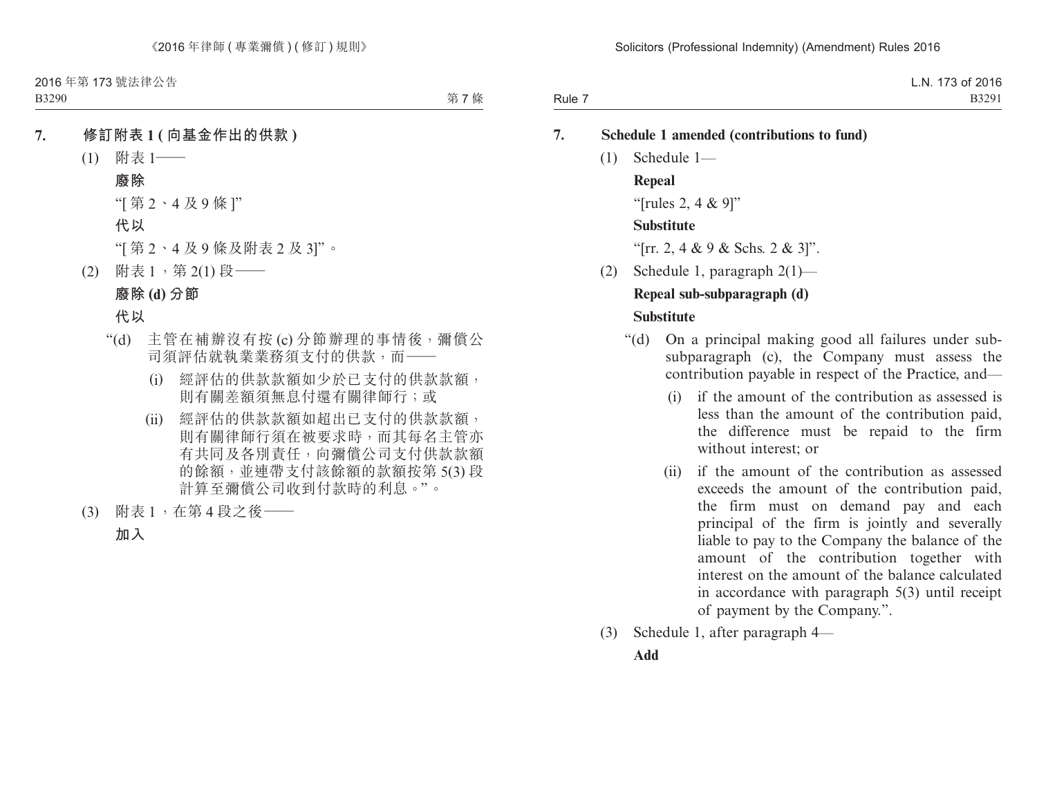第7條

- **7. 修訂附表 1 ( 向基金作出的供款 )**
	- (1) 附表 1——
		- **廢除**
		- "[ 第 2、4 及 9 條 ]"
		- **代以**
		- "[ 第 2、4 及 9 條及附表 2 及 3]"。
	- (2) 附表 1, 第 2(1) 段––

# **廢除 (d) 分節**

## **代以**

- "(d) 主管在補辦沒有按 (c) 分節辦理的事情後,彌償公 司須評估就執業業務須支付的供款,而——
	- (i) 經評估的供款款額如少於已支付的供款款額, 則有關差額須無息付還有關律師行;或
	- (ii) 經評估的供款款額如超出已支付的供款款額, 則有關律師行須在被要求時,而其每名主管亦 有共同及各別責任,向彌償公司支付供款款額 的餘額,並連帶支付該餘額的款額按第 5(3) 段 計算至彌償公司收到付款時的利息。"。
- (3) 附表 1,在第 4 段之後——

**加入**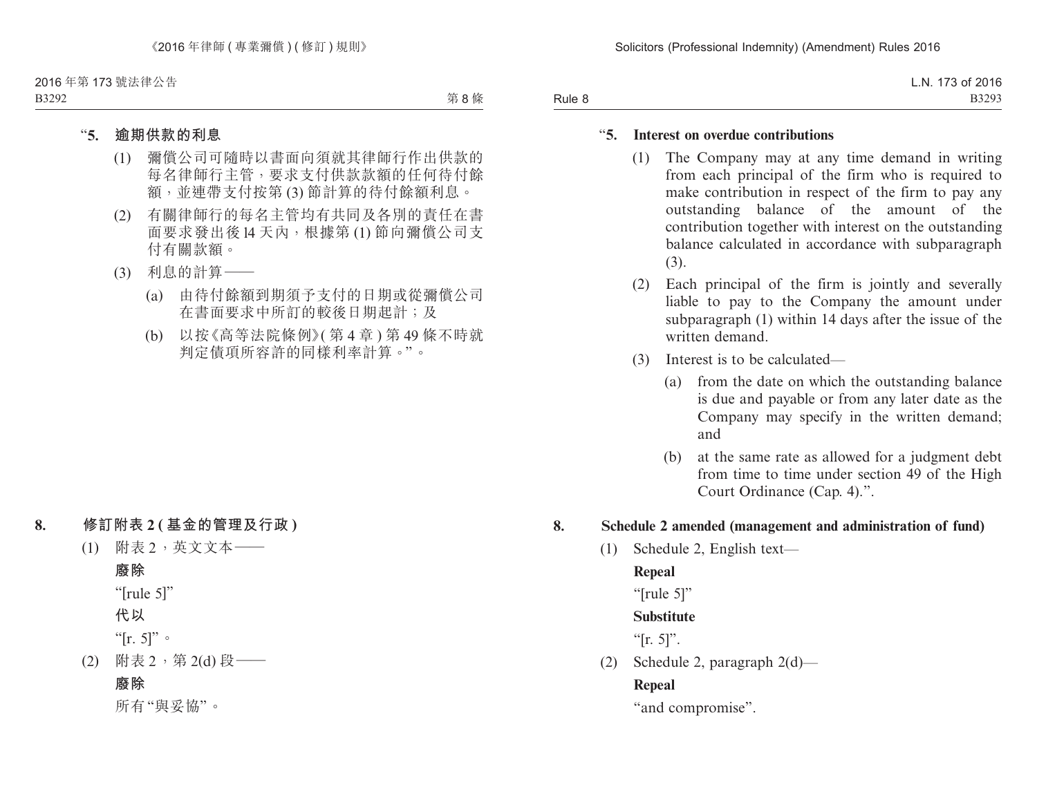第8條

### "**5. 逾期供款的利息**

- (1) 彌償公司可隨時以書面向須就其律師行作出供款的 每名律師行主管,要求支付供款款額的任何待付餘 額,並連帶支付按第 (3) 節計算的待付餘額利息。
- (2) 有關律師行的每名主管均有共同及各別的責任在書 面要求發出後 l4 天內,根據第 (1) 節向彌償公司支 付有關款額。
- (3) 利息的計算——
	- (a) 由待付餘額到期須予支付的日期或從彌償公司 在書面要求中所訂的較後日期起計;及
	- (b) 以按《高等法院條例》( 第 4 章 ) 第 49 條不時就 判定債項所容許的同樣利率計算。"。

#### **8. 修訂附表 2 ( 基金的管理及行政 )**

(1) 附表 2,英文文本——

#### **廢除**

- "[rule 5]"
- **代以**

"[r. 5]"。

(2) 附表 2,第 2(d) 段——

## **廢除**

所有"與妥協"。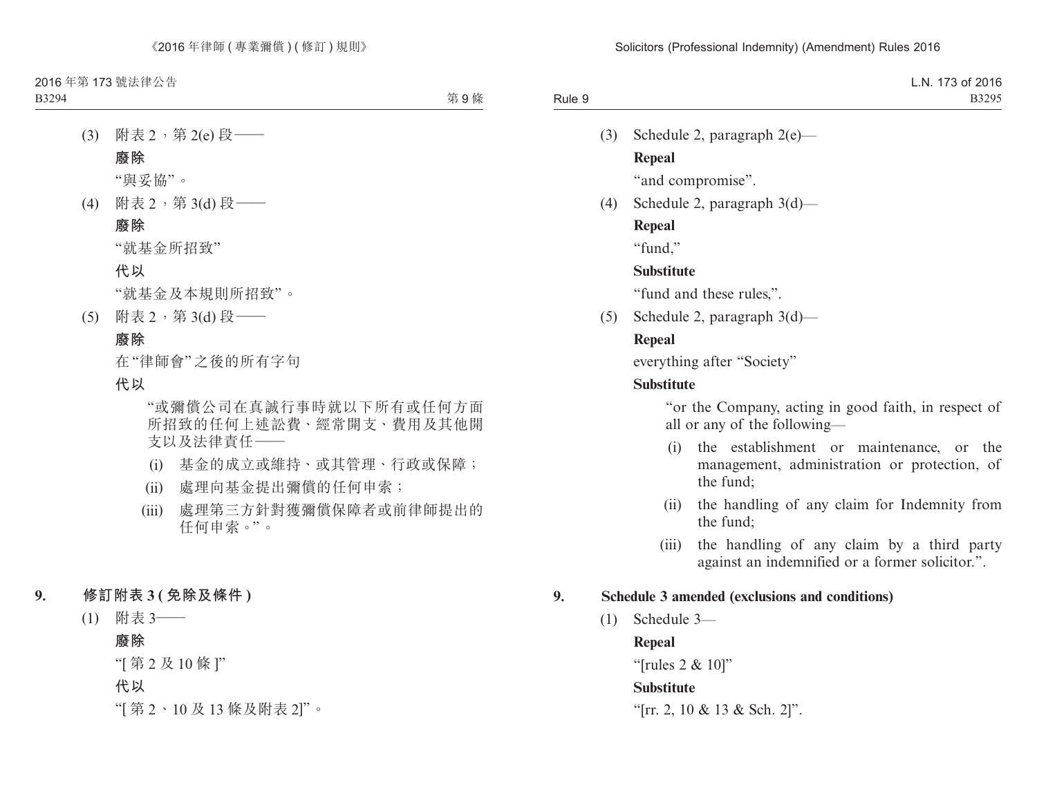第9條

(3) 附表 2,第 2(e)段–– **廢除**

"與妥協"。

(4) 附表 2,第 3(d) 段–

## **廢除**

"就基金所招致"

#### **代以**

"就基金及本規則所招致"。

(5) 附表 2,第 3(d) 段——

#### **廢除**

在"律師會"之後的所有字句

## **代以**

 "或彌償公司在真誠行事時就以下所有或任何方面 所招致的任何上述訟費、經常開支、費用及其他開 支以及法律責任——

- (i) 基金的成立或維持、或其管理、行政或保障;
- (ii) 處理向基金提出彌償的任何申索;
- (iii) 處理第三方針對獲彌償保障者或前律師提出的 任何申索。"。
- **9. 修訂附表 3 ( 免除及條件 )**
	- (1) 附表 3——

#### **廢除**

"[ 第 2 及 10 條 ]"

- **代以**
- "[ 第 2、10 及 13 條及附表 2]"。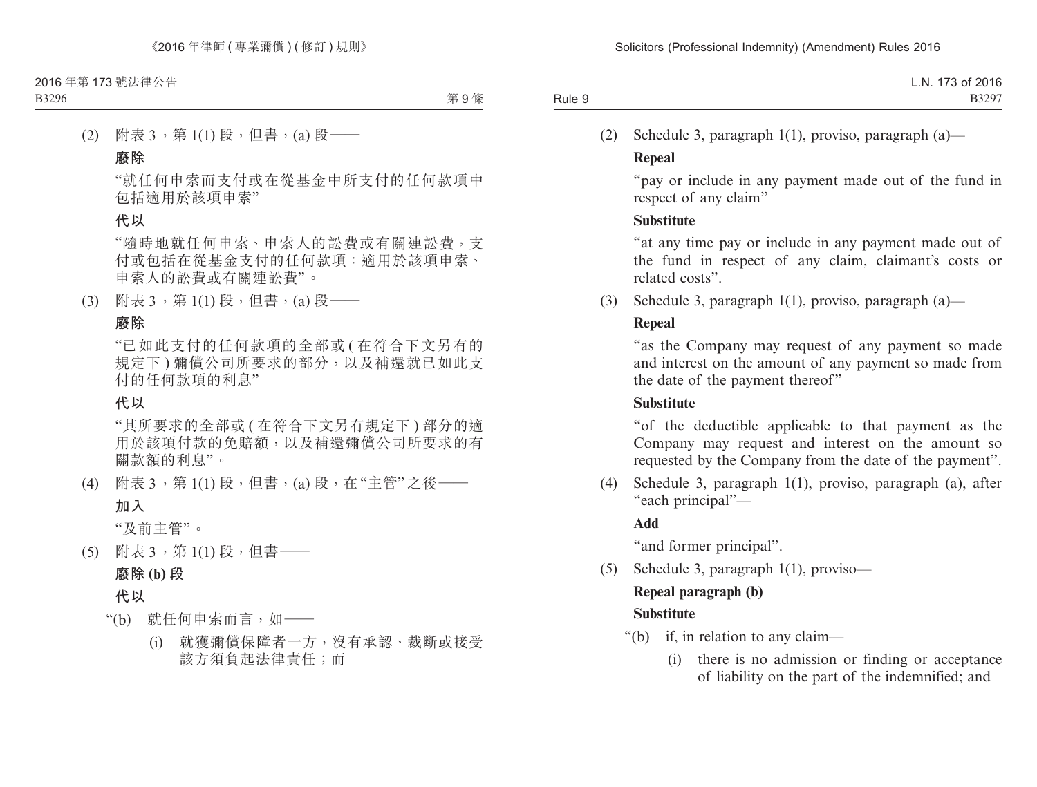第9條

(2) 附表 3,第 1(1) 段,但書,(a) 段——

#### **廢除**

"就任何申索而支付或在從基金中所支付的任何款項中 包括適用於該項申索"

## **代以**

"隨時地就任何申索、申索人的訟費或有關連訟費,支 付或包括在從基金支付的任何款項:適用於該項申索、 申索人的訟費或有關連訟費"。

(3) 附表 3,第 1(1) 段,但書,(a) 段——

#### **廢除**

"已如此支付的任何款項的全部或 ( 在符合下文另有的 規定下 ) 彌償公司所要求的部分,以及補還就已如此支 付的任何款項的利息"

#### **代以**

"其所要求的全部或 ( 在符合下文另有規定下 ) 部分的適 用於該項付款的免賠額,以及補還彌償公司所要求的有 關款額的利息"。

(4) 附表 3,第 1(1) 段,但書,(a) 段,在"主管"之後——

#### **加入**

"及前主管"。

(5) 附表 3,第 1(1) 段,但書——

## **廢除 (b) 段**

## **代以**

- "(b) 就任何申索而言,如——
	- (i) 就獲彌償保障者一方,沒有承認、裁斷或接受 該方須負起法律責任;而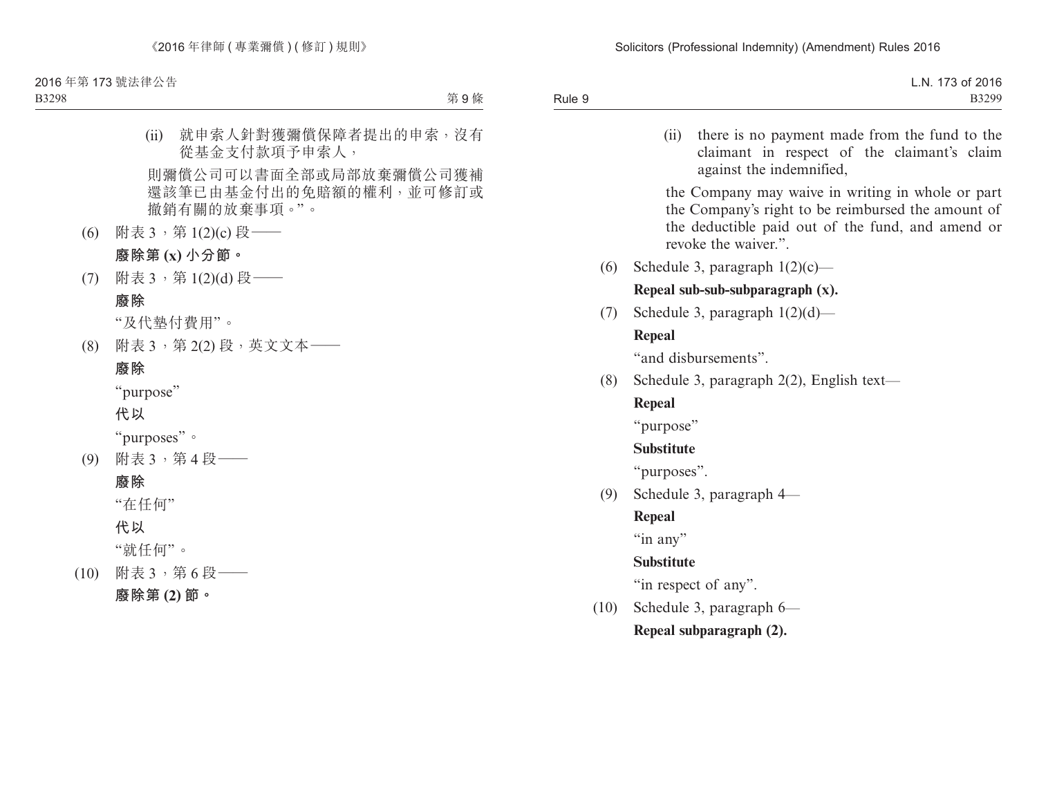B3298

第9條

(ii) 就申索人針對獲彌償保障者提出的申索,沒有 從基金支付款項予申索人,

則彌償公司可以書面全部或局部放棄彌償公司獲補 還該筆已由基金付出的免賠額的權利,並可修訂或 撤銷有關的放棄事項。"。

(6) 附表 3,第 1(2)(c) 段——

## **廢除第 (x) 小分節。**

(7) 附表 3,第 1(2)(d) 段—— **廢除**

"及代墊付費用"。

(8) 附表 3,第 2(2) 段,英文文本——

## **廢除**

"purpose"

**代以**

"purposes"。

(9) 附表 3,第 4 段——

## **廢除**

"在任何"

**代以**

"就任何"。

- (10) 附表 3,第 6 段——
	- **廢除第 (2) 節。**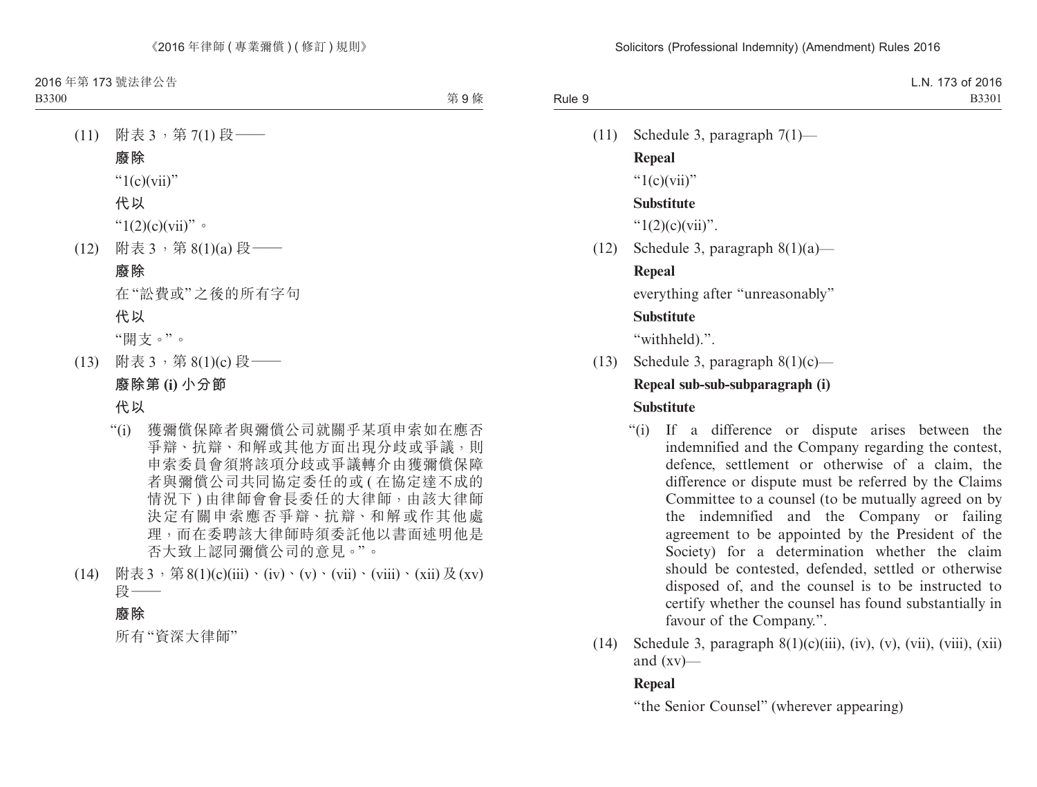- (11) 附表 3, 第 7(1) 段– **廢除** " $1(c)(vii)$ " **代以**  $"1(2)(c)(vii)"$
- (12) 附表 3,第 8(1)(a) 段——

#### **廢除**

在"訟費或"之後的所有字句

**代以**

"開支。"。

(13) 附表 3,第 8(1)(c) 段—— **廢除第 (i) 小分節**

**代以**

- "(i) 獲彌償保障者與彌償公司就關乎某項申索如在應否 爭辯、抗辯、和解或其他方面出現分歧或爭議,則 申索委員會須將該項分歧或爭議轉介由獲彌償保障 者與彌償公司共同協定委任的或 ( 在協定達不成的 情況下 ) 由律師會會長委任的大律師,由該大律師 決定有關申索應否爭辯、抗辯、和解或作其他處 理,而在委聘該大律師時須委託他以書面述明他是 否大致上認同彌償公司的意見。"。
- (14) 附表  $3 \cdot$  第  $8(1)(c)(iii) \cdot (iv) \cdot (v) \cdot (vii) \cdot (viii) \cdot (xii) \n& (xv)$ 段——

#### **廢除**

所有"資深大律師"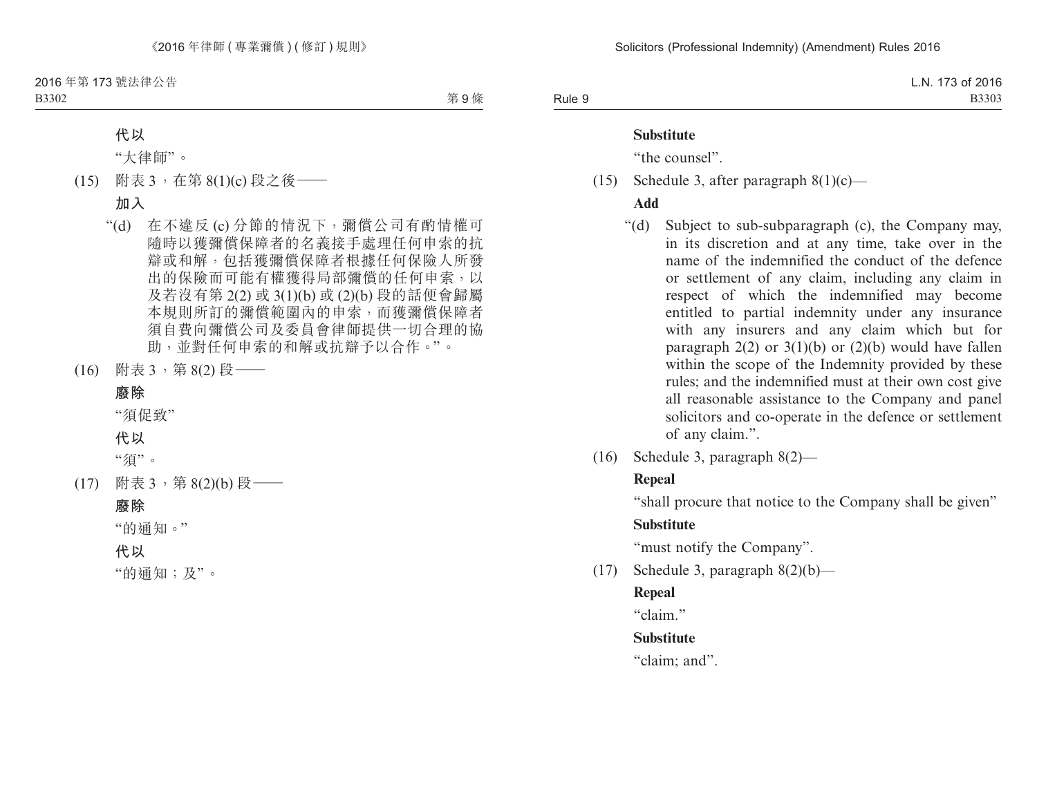B3302

第9條

#### **代以**

"大律師"。

(15) 附表 3,在第 8(1)(c) 段之後——

### **加入**

- "(d) 在不違反 (c) 分節的情況下,彌償公司有酌情權可 隨時以獲彌償保障者的名義接手處理任何申索的抗 辯或和解,包括獲彌償保障者根據任何保險人所發 出的保險而可能有權獲得局部彌償的任何申索,以 及若沒有第 2(2) 或 3(1)(b) 或 (2)(b) 段的話便會歸屬 本規則所訂的彌償範圍內的申索,而獲彌償保障者 須自費向彌償公司及委員會律師提供一切合理的協 助,並對任何申索的和解或抗辯予以合作。"。
- (16) 附表 3,第 8(2) 段——

#### **廢除**

"須促致"

## **代以**

"須"。

(17) 附表 3,第 8(2)(b) 段——

#### **廢除**

"的通知。"

**代以**

"的通知;及"。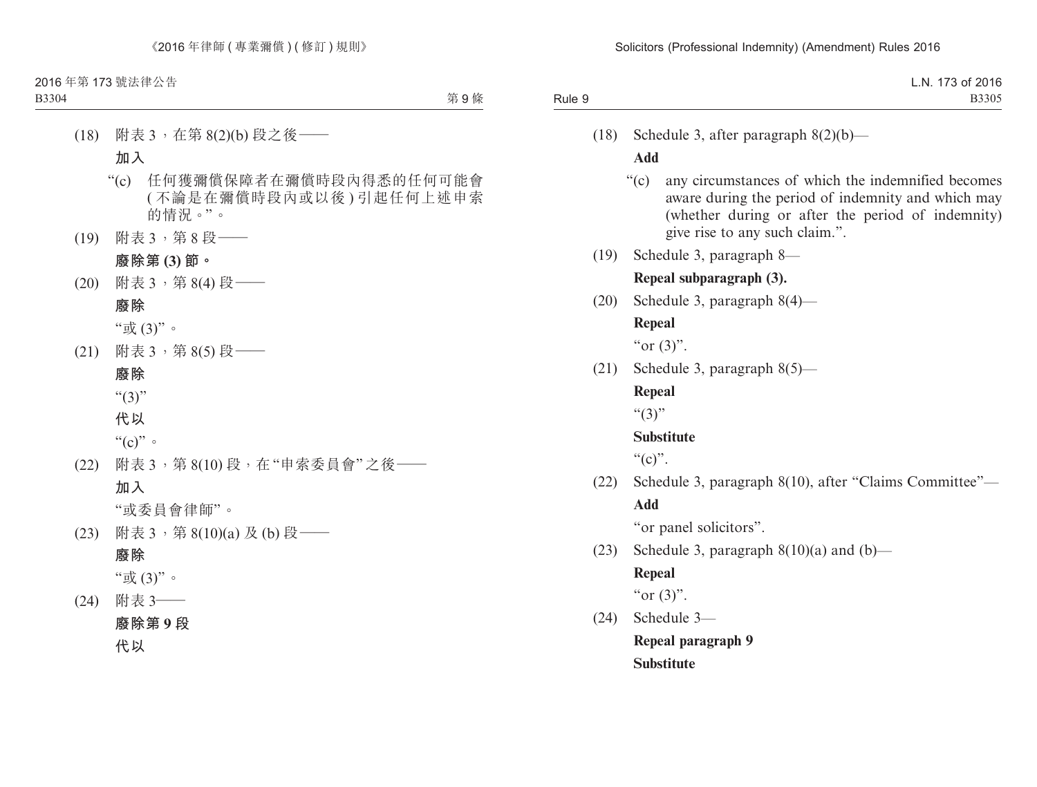第9條

(18) 附表 3,在第 8(2)(b) 段之後—— **加入** "(c) 任何獲彌償保障者在彌償時段內得悉的任何可能會 ( 不論是在彌償時段內或以後 ) 引起任何上述申索 的情況。"。 (19) 附表 3,第 8 段—— **廢除第 (3) 節。** (20) 附表 3,第 8(4) 段—— **廢除** "或 (3)"。 (21) 附表 3, 第 8(5) 段 —— **廢除**  $``(3)"$ **代以**  $``(c)"$ (22) 附表 3,第 8(10) 段,在"申索委員會"之後—— **加入** "或委員會律師"。 (23) 附表 3, 第 8(10)(a) 及 (b) 段 —— **廢除** "或 (3)"。 (24) 附表 3—— **廢除第 9 段 代以**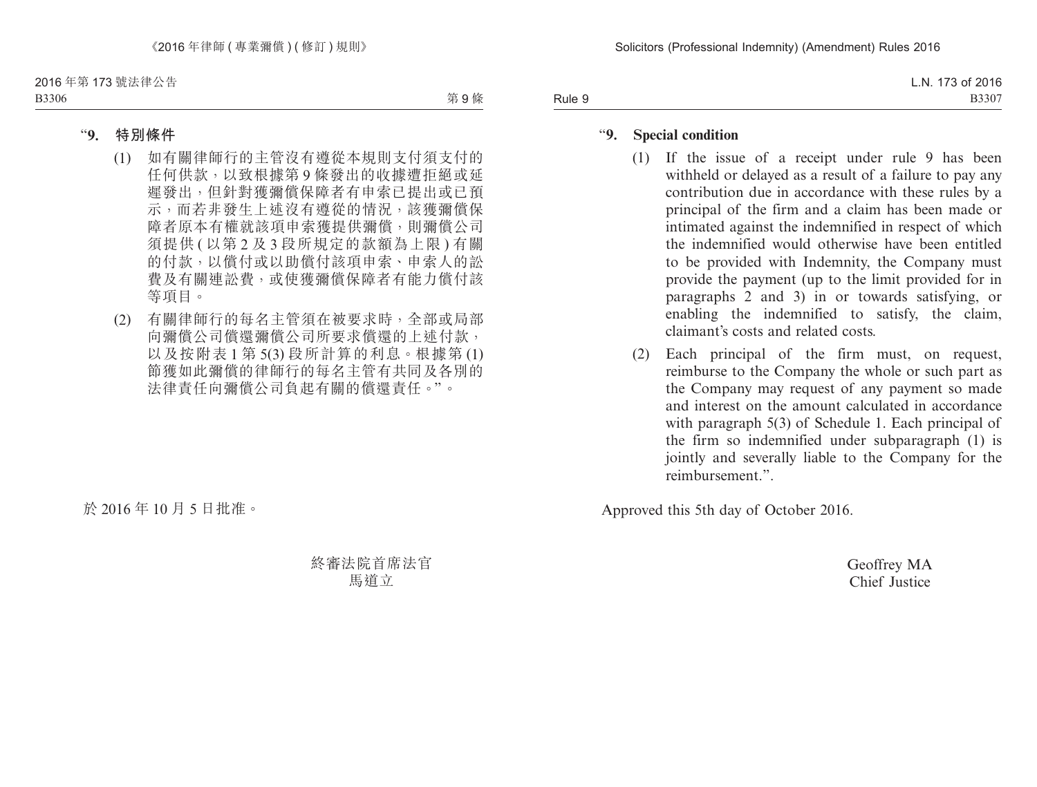第9條

#### "**9. 特別條件**

- (1) 如有關律師行的主管沒有遵從本規則支付須支付的 任何供款,以致根據第 9 條發出的收據遭拒絕或延 遲發出,但針對獲彌償保障者有申索已提出或已預 示,而若非發生上述沒有遵從的情況,該獲彌償保 障者原本有權就該項申索獲提供彌償,則彌償公司 須提供 ( 以第 2 及 3 段所規定的款額為上限 ) 有關 的付款,以償付或以助償付該項申索、申索人的訟 費及有關連訟費,或使獲彌償保障者有能力償付該 等項目。
- (2) 有關律師行的每名主管須在被要求時,全部或局部 向彌償公司償還彌償公司所要求償還的上述付款, 以及按附表 1 第 5(3) 段所計算的利息。根據第 (1) 節獲如此彌償的律師行的每名主管有共同及各別的 法律責任向彌償公司負起有關的償還責任。"。

於 2016 年 10 月 5 日批准。

終審法院首席法官 馬道立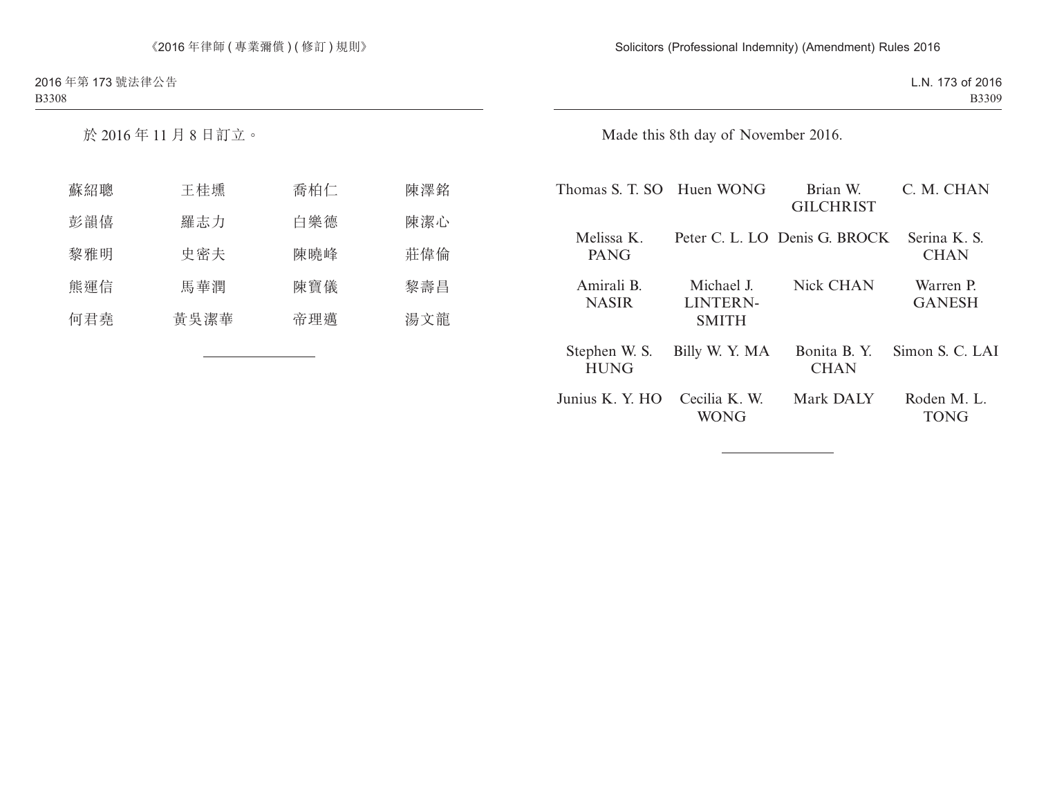於 2016 年 11 月 8 日訂立。

| 蘇紹聰 | 王桂壎  | 喬柏仁 | 陳澤銘 |
|-----|------|-----|-----|
| 彭韻僖 | 羅志力  | 白樂德 | 陳潔心 |
| 黎雅明 | 史密夫  | 陳曉峰 | 莊偉倫 |
| 熊運信 | 馬華潤  | 陳寶儀 | 黎壽昌 |
| 何君堯 | 黃吳潔華 | 帝理邁 | 湯文龍 |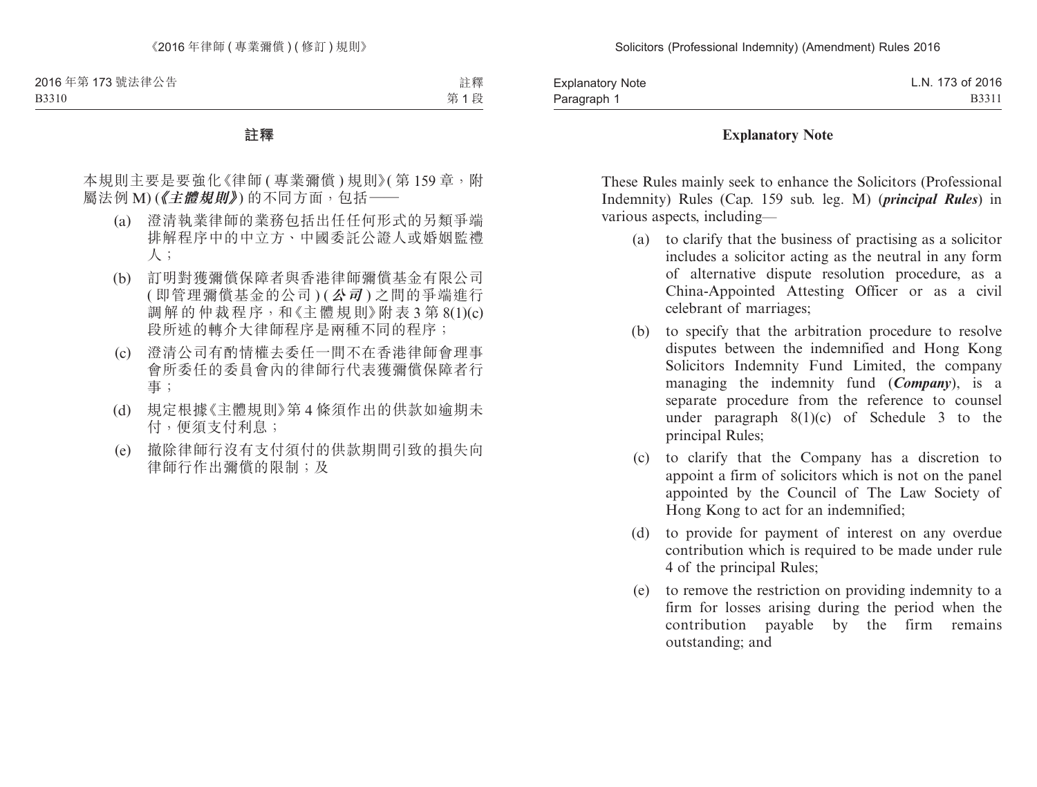B3310

註釋 第 1 段

#### **註釋**

本規則主要是要強化《律師 ( 專業彌償 ) 規則》( 第 159 章, 附 屬法例 M) (《主體規則》) 的不同方面, 包括––

- (a) 澄清執業律師的業務包括出任任何形式的另類爭端 排解程序中的中立方、中國委託公證人或婚姻監禮 人;
- (b) 訂明對獲彌償保障者與香港律師彌償基金有限公司 ( 即管理彌償基金的公司 ) (**公司** ) 之間的爭端進行 調解的仲裁程序,和《主體規則》附表 3 第 8(1)(c) 段所述的轉介大律師程序是兩種不同的程序;
- (c) 澄清公司有酌情權去委任一間不在香港律師會理事 會所委任的委員會內的律師行代表獲彌償保障者行 事;
- (d) 規定根據《主體規則》第 4 條須作出的供款如逾期未 付,便須支付利息;
- (e) 撤除律師行沒有支付須付的供款期間引致的損失向 律師行作出彌償的限制;及